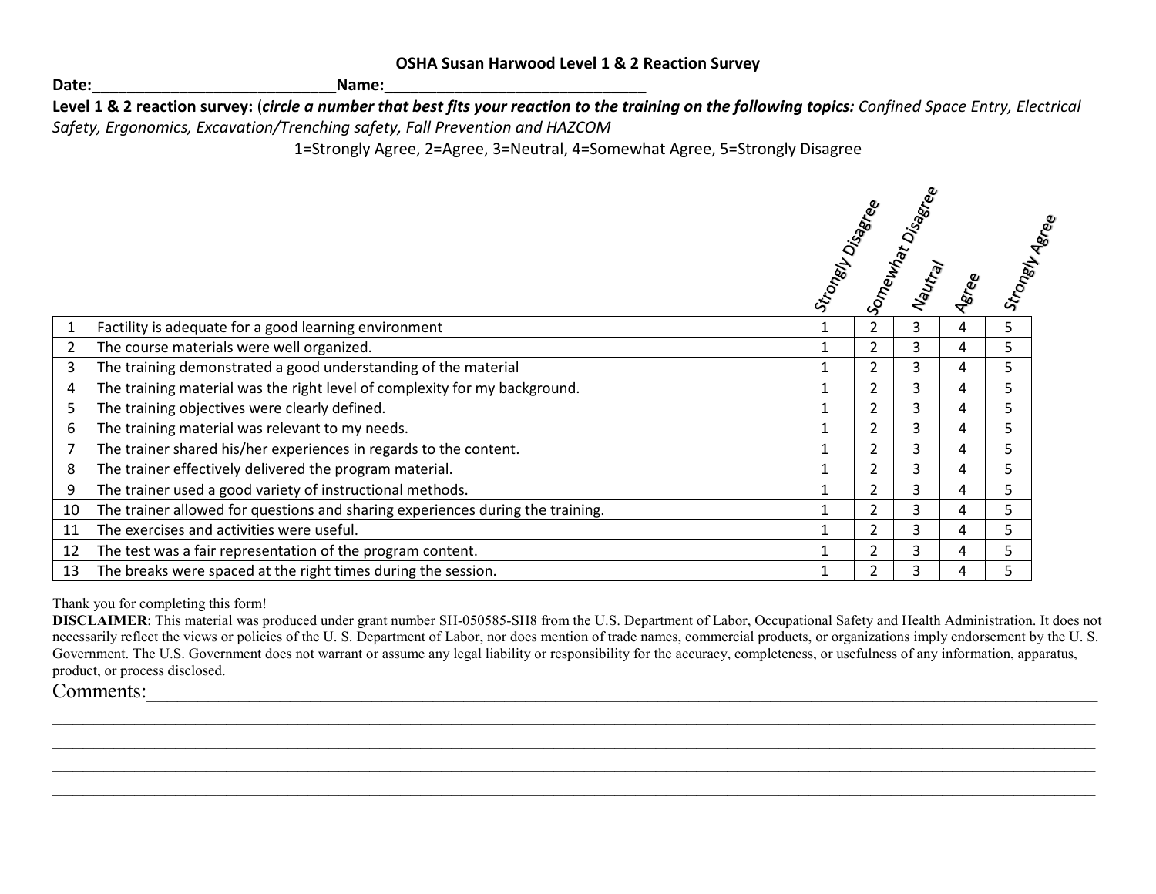| <b>OSHA Susan Harwood Level 1 &amp; 2 Reaction Survey</b> |  |  |  |
|-----------------------------------------------------------|--|--|--|
|-----------------------------------------------------------|--|--|--|

**Date:\_\_\_\_\_\_\_\_\_\_\_\_\_\_\_\_\_\_\_\_\_\_\_\_\_\_\_\_Name:\_\_\_\_\_\_\_\_\_\_\_\_\_\_\_\_\_\_\_\_\_\_\_\_\_\_\_\_\_\_**

**Level 1 & 2 reaction survey:** (*circle a number that best fits your reaction to the training on the following topics: Confined Space Entry, Electrical Safety, Ergonomics, Excavation/Trenching safety, Fall Prevention and HAZCOM*

1=Strongly Agree, 2=Agree, 3=Neutral, 4=Somewhat Agree, 5=Strongly Disagree

|                |                                                                                |              |                | Strongey<br>Somewhat Disagree<br>Mautray Saree<br>Aeree |   | Strongly Asrea |
|----------------|--------------------------------------------------------------------------------|--------------|----------------|---------------------------------------------------------|---|----------------|
|                | Factility is adequate for a good learning environment                          | 1            | $\overline{2}$ | 3                                                       | 4 | 5.             |
| $\overline{2}$ | The course materials were well organized.                                      |              | $\overline{2}$ | 3                                                       | 4 | 5              |
| 3              | The training demonstrated a good understanding of the material                 | 1            | 2              | 3                                                       | 4 | 5              |
| 4              | The training material was the right level of complexity for my background.     | 1            | 2              | 3                                                       | 4 | 5.             |
| 5              | The training objectives were clearly defined.                                  |              | $\overline{2}$ | 3                                                       | 4 | 5.             |
| 6              | The training material was relevant to my needs.                                |              | 2              | 3                                                       | 4 | 5              |
|                | The trainer shared his/her experiences in regards to the content.              |              | 2              | 3                                                       | 4 | 5              |
| 8              | The trainer effectively delivered the program material.                        | 1            | 2              | 3                                                       | 4 | 5.             |
| 9              | The trainer used a good variety of instructional methods.                      |              | $\overline{2}$ | 3                                                       | 4 | 5              |
| 10             | The trainer allowed for questions and sharing experiences during the training. | $\mathbf{1}$ | $\overline{2}$ | 3                                                       | 4 | 5              |
| 11             | The exercises and activities were useful.                                      | $\mathbf{1}$ | $\overline{2}$ | 3                                                       | 4 | 5              |
| 12             | The test was a fair representation of the program content.                     | 1            | 2              | 3                                                       | 4 | 5.             |
| 13             | The breaks were spaced at the right times during the session.                  |              | $\overline{2}$ | 3                                                       | 4 | 5              |

Thank you for completing this form!

**DISCLAIMER**: This material was produced under grant number SH-050585-SH8 from the U.S. Department of Labor, Occupational Safety and Health Administration. It does not necessarily reflect the views or policies of the U.S. Department of Labor, nor does mention of trade names, commercial products, or organizations imply endorsement by the U.S. Government. The U.S. Government does not warrant or assume any legal liability or responsibility for the accuracy, completeness, or usefulness of any information, apparatus, product, or process disclosed.

 $\mathcal{L}_\text{max}$  , and the contribution of the contribution of the contribution of the contribution of the contribution of the contribution of the contribution of the contribution of the contribution of the contribution of t

 $\mathcal{L}_\text{max}$  , and the contribution of the contribution of the contribution of the contribution of the contribution of the contribution of the contribution of the contribution of the contribution of the contribution of t

Comments: <u>with the set of the set of the set of the set of the set of the set of the set of the set of the set of the set of the set of the set of the set of the set of the set of the set of the set of the set of the set </u>